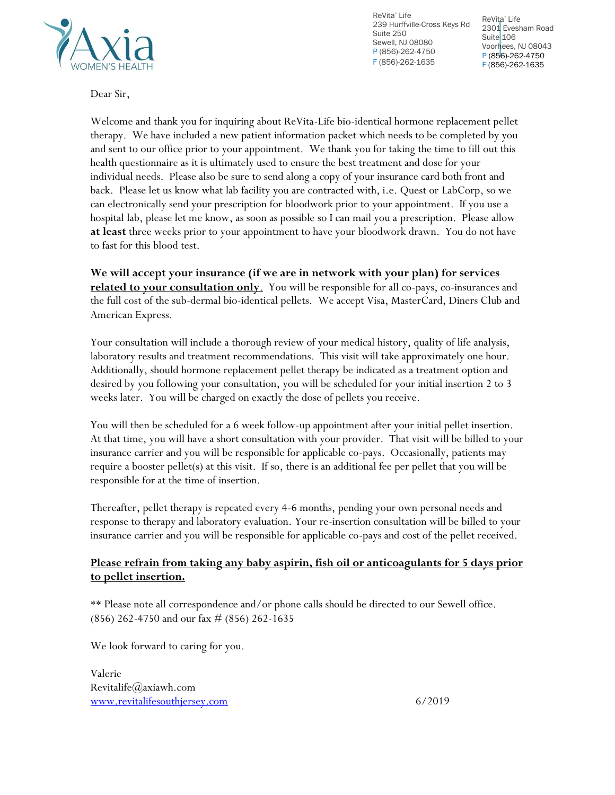

239 Hurffville-Cross Keys Rd 2301 Evesham Road ReVita' Life Suite 250 Sewell, NJ 08080 P (856)-262-4750 F (856)-262-1635

ReVita' Life Suite 106 Voorhees, NJ 08043 P (856)-262-4750 F (856)-262-1635

Dear Sir,

Welcome and thank you for inquiring about ReVita-Life bio-identical hormone replacement pellet therapy. We have included a new patient information packet which needs to be completed by you and sent to our office prior to your appointment. We thank you for taking the time to fill out this health questionnaire as it is ultimately used to ensure the best treatment and dose for your individual needs. Please also be sure to send along a copy of your insurance card both front and back. Please let us know what lab facility you are contracted with, i.e. Quest or LabCorp, so we can electronically send your prescription for bloodwork prior to your appointment. If you use a hospital lab, please let me know, as soon as possible so I can mail you a prescription. Please allow **at least** three weeks prior to your appointment to have your bloodwork drawn. You do not have to fast for this blood test.

**We will accept your insurance (if we are in network with your plan) for services related to your consultation only**. You will be responsible for all co-pays, co-insurances and the full cost of the sub-dermal bio-identical pellets. We accept Visa, MasterCard, Diners Club and American Express.

Your consultation will include a thorough review of your medical history, quality of life analysis, laboratory results and treatment recommendations. This visit will take approximately one hour. Additionally, should hormone replacement pellet therapy be indicated as a treatment option and desired by you following your consultation, you will be scheduled for your initial insertion 2 to 3 weeks later. You will be charged on exactly the dose of pellets you receive.

You will then be scheduled for a 6 week follow-up appointment after your initial pellet insertion. At that time, you will have a short consultation with your provider. That visit will be billed to your insurance carrier and you will be responsible for applicable co-pays. Occasionally, patients may require a booster pellet(s) at this visit. If so, there is an additional fee per pellet that you will be responsible for at the time of insertion.

Thereafter, pellet therapy is repeated every 4-6 months, pending your own personal needs and response to therapy and laboratory evaluation. Your re-insertion consultation will be billed to your insurance carrier and you will be responsible for applicable co-pays and cost of the pellet received.

### **Please refrain from taking any baby aspirin, fish oil or anticoagulants for 5 days prior to pellet insertion.**

\*\* Please note all correspondence and/or phone calls should be directed to our Sewell office. (856) 262-4750 and our fax # (856) 262-1635

We look forward to caring for you.

Valerie Revitalife@axiawh.com [www.revitalifesouthjersey.com](http://www.revitalifesouthjersey.com/) 6/2019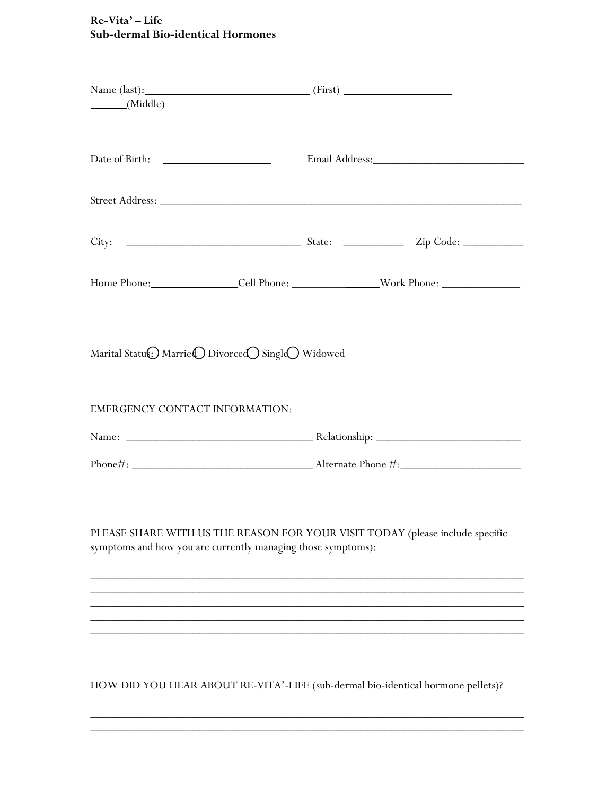## **Re-Vita' – Life Sub-dermal Bio-identical Hormones**

| (Middle)                       |                                                              |  |                                                                                                      |
|--------------------------------|--------------------------------------------------------------|--|------------------------------------------------------------------------------------------------------|
|                                |                                                              |  |                                                                                                      |
|                                |                                                              |  |                                                                                                      |
|                                |                                                              |  |                                                                                                      |
|                                |                                                              |  | Home Phone: __________________Cell Phone: ________________________Work Phone: ______________________ |
| EMERGENCY CONTACT INFORMATION: |                                                              |  |                                                                                                      |
|                                |                                                              |  |                                                                                                      |
|                                |                                                              |  |                                                                                                      |
|                                | symptoms and how you are currently managing those symptoms): |  | PLEASE SHARE WITH US THE REASON FOR YOUR VISIT TODAY (please include specific                        |
|                                |                                                              |  |                                                                                                      |
|                                |                                                              |  |                                                                                                      |
|                                |                                                              |  | HOW DID YOU HEAR ABOUT RE-VITA'-LIFE (sub-dermal bio-identical hormone pellets)?                     |

 $\overline{\phantom{a}}$  , and the contract of the contract of the contract of the contract of the contract of the contract of the contract of the contract of the contract of the contract of the contract of the contract of the contrac  $\overline{\phantom{a}}$  , and the contract of the contract of the contract of the contract of the contract of the contract of the contract of the contract of the contract of the contract of the contract of the contract of the contrac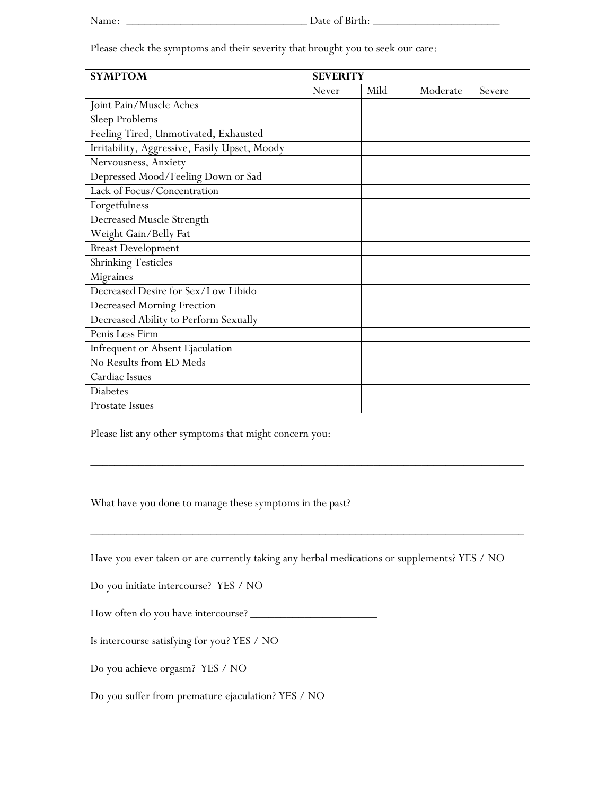Please check the symptoms and their severity that brought you to seek our care:

| <b>SYMPTOM</b>                                | <b>SEVERITY</b> |      |          |        |
|-----------------------------------------------|-----------------|------|----------|--------|
|                                               | Never           | Mild | Moderate | Severe |
| Joint Pain/Muscle Aches                       |                 |      |          |        |
| Sleep Problems                                |                 |      |          |        |
| Feeling Tired, Unmotivated, Exhausted         |                 |      |          |        |
| Irritability, Aggressive, Easily Upset, Moody |                 |      |          |        |
| Nervousness, Anxiety                          |                 |      |          |        |
| Depressed Mood/Feeling Down or Sad            |                 |      |          |        |
| Lack of Focus/Concentration                   |                 |      |          |        |
| Forgetfulness                                 |                 |      |          |        |
| Decreased Muscle Strength                     |                 |      |          |        |
| Weight Gain/Belly Fat                         |                 |      |          |        |
| <b>Breast Development</b>                     |                 |      |          |        |
| <b>Shrinking Testicles</b>                    |                 |      |          |        |
| Migraines                                     |                 |      |          |        |
| Decreased Desire for Sex/Low Libido           |                 |      |          |        |
| Decreased Morning Erection                    |                 |      |          |        |
| Decreased Ability to Perform Sexually         |                 |      |          |        |
| Penis Less Firm                               |                 |      |          |        |
| Infrequent or Absent Ejaculation              |                 |      |          |        |
| No Results from ED Meds                       |                 |      |          |        |
| Cardiac Issues                                |                 |      |          |        |
| Diabetes                                      |                 |      |          |        |
| Prostate Issues                               |                 |      |          |        |

Please list any other symptoms that might concern you:

What have you done to manage these symptoms in the past?

Have you ever taken or are currently taking any herbal medications or supplements? YES / NO

 $\overline{\phantom{a}}$  , and the contract of the contract of the contract of the contract of the contract of the contract of the contract of the contract of the contract of the contract of the contract of the contract of the contrac

 $\overline{\phantom{a}}$  , and the contract of the contract of the contract of the contract of the contract of the contract of the contract of the contract of the contract of the contract of the contract of the contract of the contrac

Do you initiate intercourse? YES / NO

How often do you have intercourse? \_\_\_\_\_\_\_\_\_\_\_\_\_\_\_\_\_\_\_\_\_

Is intercourse satisfying for you? YES / NO

Do you achieve orgasm? YES / NO

Do you suffer from premature ejaculation? YES / NO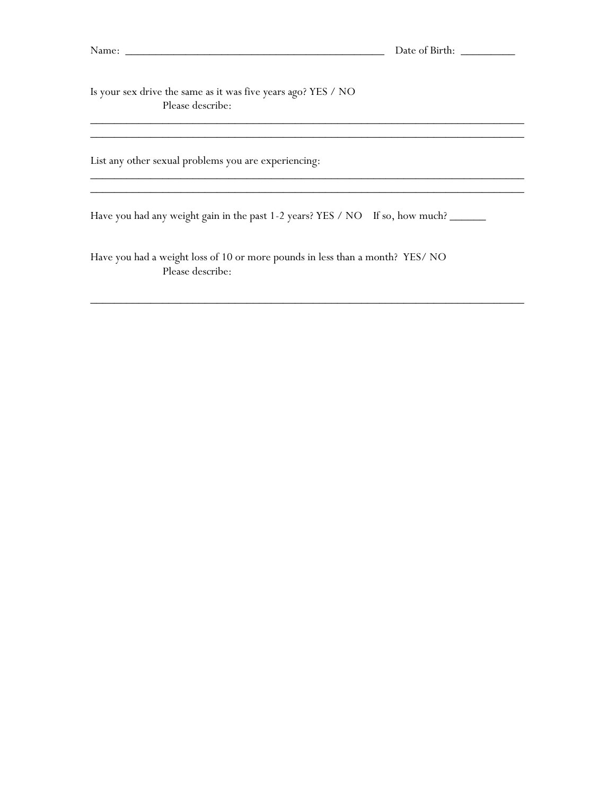\_\_\_\_\_\_\_\_\_\_\_\_\_\_\_\_\_\_\_\_\_\_\_\_\_\_\_\_\_\_\_\_\_\_\_\_\_\_\_\_\_\_\_\_\_\_\_\_\_\_\_\_\_\_\_\_\_\_\_\_\_\_\_\_\_\_\_\_\_\_\_\_

Is your sex drive the same as it was five years ago? YES / NO Please describe:

List any other sexual problems you are experiencing: \_\_\_\_\_\_\_\_\_\_\_\_\_\_\_\_\_\_\_\_\_\_\_\_\_\_\_\_\_\_\_\_\_\_\_\_\_\_\_\_\_\_\_\_\_\_\_\_\_\_\_\_\_\_\_\_\_\_\_\_\_\_\_\_\_\_\_\_\_\_\_\_

Have you had any weight gain in the past 1-2 years? YES / NO If so, how much?

 $\overline{\phantom{a}}$  , and the contract of the contract of the contract of the contract of the contract of the contract of the contract of the contract of the contract of the contract of the contract of the contract of the contrac

 $\overline{\phantom{a}}$  , and the contract of the contract of the contract of the contract of the contract of the contract of the contract of the contract of the contract of the contract of the contract of the contract of the contrac

 $\overline{\phantom{a}}$  , and the contract of the contract of the contract of the contract of the contract of the contract of the contract of the contract of the contract of the contract of the contract of the contract of the contrac

Have you had a weight loss of 10 or more pounds in less than a month? YES/ NO Please describe: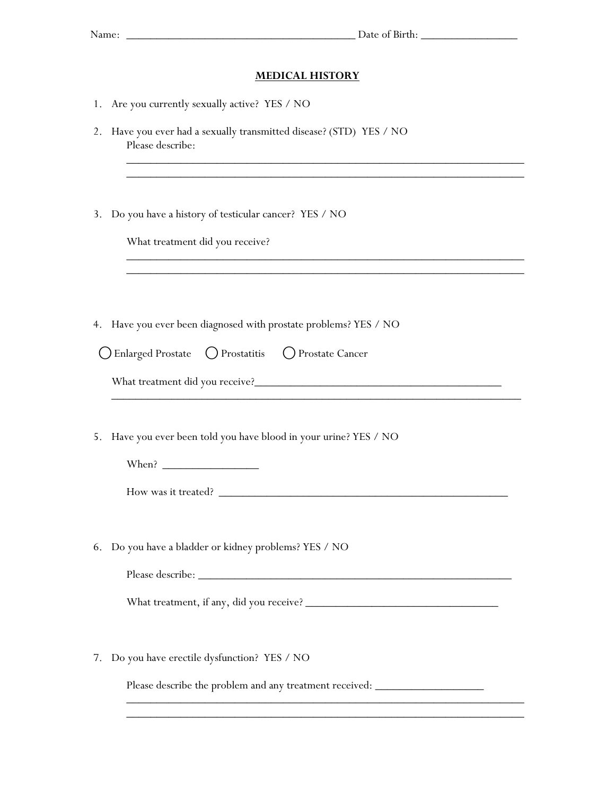#### **MEDICAL HISTORY**

\_\_\_\_\_\_\_\_\_\_\_\_\_\_\_\_\_\_\_\_\_\_\_\_\_\_\_\_\_\_\_\_\_\_\_\_\_\_\_\_\_\_\_\_\_\_\_\_\_\_\_\_\_\_\_\_\_\_\_\_\_\_\_\_\_\_ \_\_\_\_\_\_\_\_\_\_\_\_\_\_\_\_\_\_\_\_\_\_\_\_\_\_\_\_\_\_\_\_\_\_\_\_\_\_\_\_\_\_\_\_\_\_\_\_\_\_\_\_\_\_\_\_\_\_\_\_\_\_\_\_\_\_

\_\_\_\_\_\_\_\_\_\_\_\_\_\_\_\_\_\_\_\_\_\_\_\_\_\_\_\_\_\_\_\_\_\_\_\_\_\_\_\_\_\_\_\_\_\_\_\_\_\_\_\_\_\_\_\_\_\_\_\_\_\_\_\_\_\_

\_\_\_\_\_\_\_\_\_\_\_\_\_\_\_\_\_\_\_\_\_\_\_\_\_\_\_\_\_\_\_\_\_\_\_\_\_\_\_\_\_\_\_\_\_\_\_\_\_\_\_\_\_\_\_\_\_\_\_\_\_\_\_\_\_\_\_\_

- 1. Are you currently sexually active? YES / NO
- 2. Have you ever had a sexually transmitted disease? (STD) YES / NO Please describe:
- 3. Do you have a history of testicular cancer? YES / NO

What treatment did you receive?

4. Have you ever been diagnosed with prostate problems? YES / NO

| O Enlarged Prostate O Prostatitis O Prostate Cancer |  |
|-----------------------------------------------------|--|
|                                                     |  |

| What treatment did you receive? |  |
|---------------------------------|--|
|---------------------------------|--|

5. Have you ever been told you have blood in your urine? YES / NO

When? \_\_\_\_\_\_\_\_\_\_\_\_\_\_\_\_

How was it treated? \_\_\_\_\_\_\_\_\_\_\_\_\_\_\_\_\_\_\_\_\_\_\_\_\_\_\_\_\_\_\_\_\_\_\_\_\_\_\_\_\_\_\_\_\_\_\_\_

6. Do you have a bladder or kidney problems? YES / NO

Please describe: \_\_\_\_\_\_\_\_\_\_\_\_\_\_\_\_\_\_\_\_\_\_\_\_\_\_\_\_\_\_\_\_\_\_\_\_\_\_\_\_\_\_\_\_\_\_\_\_\_\_\_\_

What treatment, if any, did you receive? \_\_\_\_\_\_\_\_\_\_\_\_\_\_\_\_\_\_\_\_\_\_\_\_\_\_\_\_\_\_\_\_

7. Do you have erectile dysfunction? YES / NO

Please describe the problem and any treatment received: \_\_\_\_\_\_\_\_\_\_\_\_\_\_\_\_\_\_\_\_\_\_\_\_

\_\_\_\_\_\_\_\_\_\_\_\_\_\_\_\_\_\_\_\_\_\_\_\_\_\_\_\_\_\_\_\_\_\_\_\_\_\_\_\_\_\_\_\_\_\_\_\_\_\_\_\_\_\_\_\_\_\_\_\_\_\_\_\_\_\_ \_\_\_\_\_\_\_\_\_\_\_\_\_\_\_\_\_\_\_\_\_\_\_\_\_\_\_\_\_\_\_\_\_\_\_\_\_\_\_\_\_\_\_\_\_\_\_\_\_\_\_\_\_\_\_\_\_\_\_\_\_\_\_\_\_\_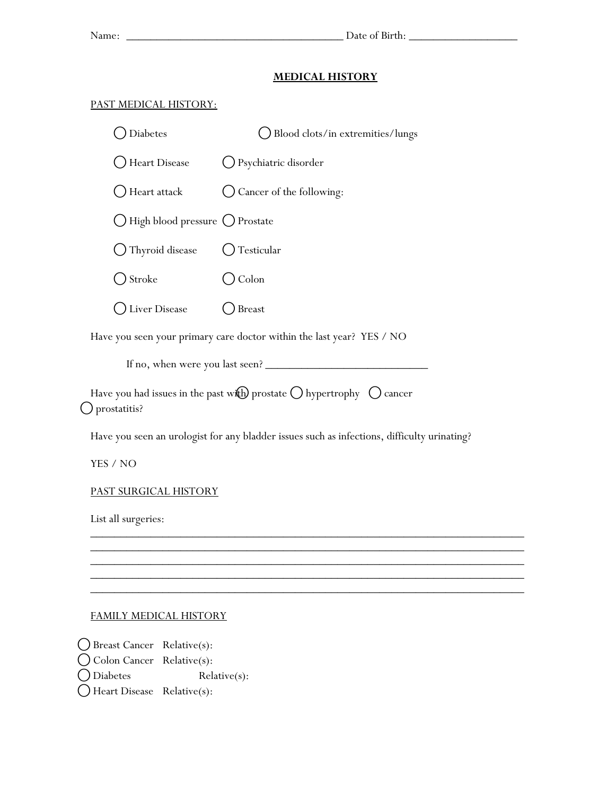#### **MEDICAL HISTORY**

### PAST MEDICAL HISTORY:

| <b>Diabetes</b>                  | Blood clots/in extremities/lungs |
|----------------------------------|----------------------------------|
| <b>Heart Disease</b>             | ◯ Psychiatric disorder           |
| Heart attack                     | Cancer of the following:         |
| ◯ High blood pressure ◯ Prostate |                                  |
| Thyroid disease                  | Testicular                       |
| Stroke                           | Colon                            |
| iver Disease                     | Breast                           |

Have you seen your primary care doctor within the last year? YES / NO

If no, when were you last seen? \_\_\_\_\_\_\_\_\_\_\_\_\_\_\_\_\_\_\_\_\_\_\_\_\_\_\_

Have you had issues in the past with prostate  $\bigcirc$  hypertrophy  $\bigcirc$  cancer ⃝prostatitis?

Have you seen an urologist for any bladder issues such as infections, difficulty urinating?

 $\overline{\phantom{a}}$  , and the contract of the contract of the contract of the contract of the contract of the contract of the contract of the contract of the contract of the contract of the contract of the contract of the contrac  $\overline{\phantom{a}}$  , and the contract of the contract of the contract of the contract of the contract of the contract of the contract of the contract of the contract of the contract of the contract of the contract of the contrac  $\overline{\phantom{a}}$  , and the contract of the contract of the contract of the contract of the contract of the contract of the contract of the contract of the contract of the contract of the contract of the contract of the contrac \_\_\_\_\_\_\_\_\_\_\_\_\_\_\_\_\_\_\_\_\_\_\_\_\_\_\_\_\_\_\_\_\_\_\_\_\_\_\_\_\_\_\_\_\_\_\_\_\_\_\_\_\_\_\_\_\_\_\_\_\_\_\_\_\_\_\_\_\_\_\_\_

 $\mathcal{L}_\text{max} = \mathcal{L}_\text{max} = \mathcal{L}_\text{max} = \mathcal{L}_\text{max} = \mathcal{L}_\text{max} = \mathcal{L}_\text{max} = \mathcal{L}_\text{max} = \mathcal{L}_\text{max} = \mathcal{L}_\text{max} = \mathcal{L}_\text{max} = \mathcal{L}_\text{max} = \mathcal{L}_\text{max} = \mathcal{L}_\text{max} = \mathcal{L}_\text{max} = \mathcal{L}_\text{max} = \mathcal{L}_\text{max} = \mathcal{L}_\text{max} = \mathcal{L}_\text{max} = \mathcal{$ 

YES / NO

### PAST SURGICAL HISTORY

List all surgeries:

### FAMILY MEDICAL HISTORY

 $\bigcirc$  Breast Cancer Relative(s): ⃝Colon Cancer Relative(s): ⃝Diabetes Relative(s):  $\bigcap$  Heart Disease Relative(s):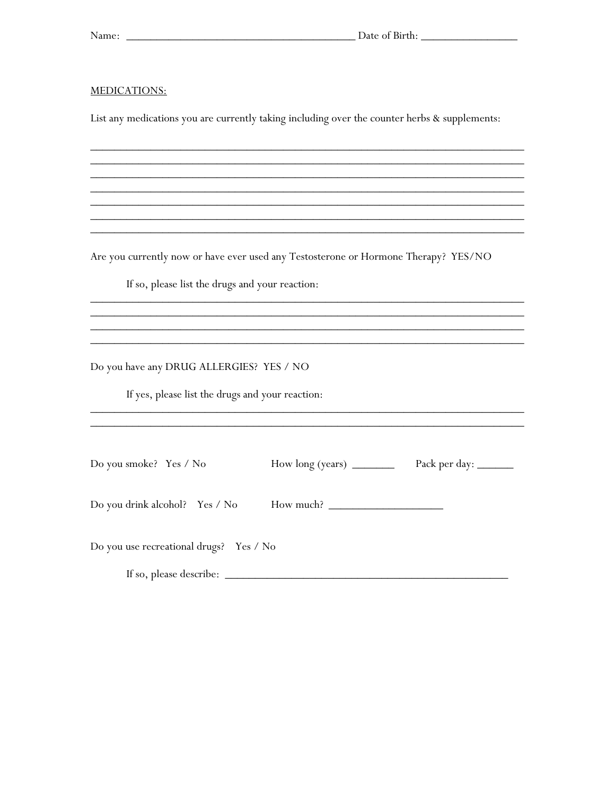<u> 1989 - Johann John Stone, markin film ar yn y brenin y brenin y brenin y brenin y brenin y brenin y brenin y</u>

#### MEDICATIONS:

List any medications you are currently taking including over the counter herbs & supplements:

Are you currently now or have ever used any Testosterone or Hormone Therapy? YES/NO

If so, please list the drugs and your reaction:

Do you have any DRUG ALLERGIES? YES / NO

If yes, please list the drugs and your reaction:

| Do you smoke? Yes / No                  |           |  |
|-----------------------------------------|-----------|--|
| Do you drink alcohol? Yes / No          | How much? |  |
| Do you use recreational drugs? Yes / No |           |  |
|                                         |           |  |